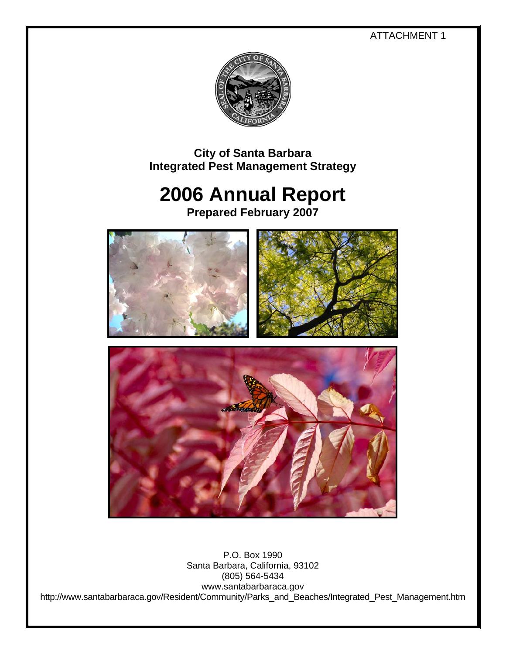ATTACHMENT 1



**City of Santa Barbara Integrated Pest Management Strategy** 

# **2006 Annual Report**

**Prepared February 2007** 



P.O. Box 1990 Santa Barbara, California, 93102 (805) 564-5434 www.santabarbaraca.gov http://www.santabarbaraca.gov/Resident/Community/Parks\_and\_Beaches/Integrated\_Pest\_Management.htm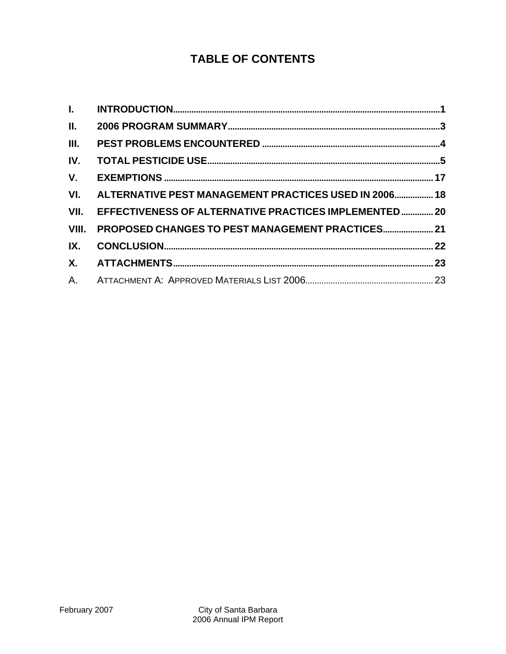# **TABLE OF CONTENTS**

| $\Pi$ .   |                                                       |  |
|-----------|-------------------------------------------------------|--|
| III.      |                                                       |  |
| IV.       |                                                       |  |
| V.        |                                                       |  |
| VI.       | ALTERNATIVE PEST MANAGEMENT PRACTICES USED IN 2006 18 |  |
| VII.      | EFFECTIVENESS OF ALTERNATIVE PRACTICES IMPLEMENTED 20 |  |
| VIII.     | PROPOSED CHANGES TO PEST MANAGEMENT PRACTICES 21      |  |
| IX.       |                                                       |  |
| <b>X.</b> |                                                       |  |
|           |                                                       |  |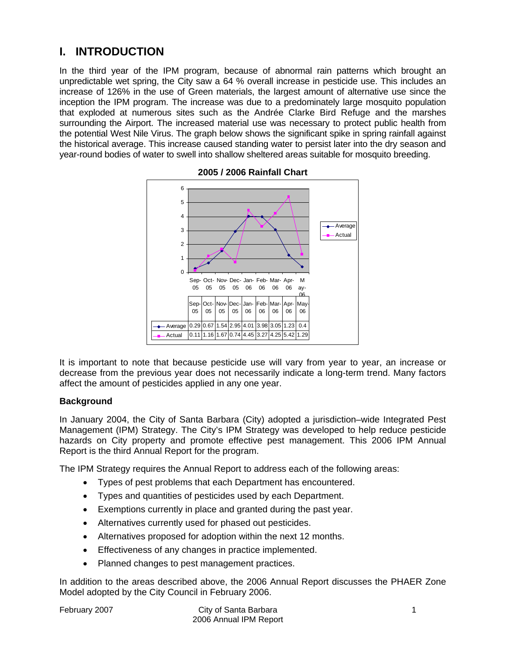# **I. INTRODUCTION**

In the third year of the IPM program, because of abnormal rain patterns which brought an unpredictable wet spring, the City saw a 64 % overall increase in pesticide use. This includes an increase of 126% in the use of Green materials, the largest amount of alternative use since the inception the IPM program. The increase was due to a predominately large mosquito population that exploded at numerous sites such as the Andrée Clarke Bird Refuge and the marshes surrounding the Airport. The increased material use was necessary to protect public health from the potential West Nile Virus. The graph below shows the significant spike in spring rainfall against the historical average. This increase caused standing water to persist later into the dry season and year-round bodies of water to swell into shallow sheltered areas suitable for mosquito breeding.





It is important to note that because pesticide use will vary from year to year, an increase or decrease from the previous year does not necessarily indicate a long-term trend. Many factors affect the amount of pesticides applied in any one year.

#### **Background**

In January 2004, the City of Santa Barbara (City) adopted a jurisdiction–wide Integrated Pest Management (IPM) Strategy. The City's IPM Strategy was developed to help reduce pesticide hazards on City property and promote effective pest management. This 2006 IPM Annual Report is the third Annual Report for the program.

The IPM Strategy requires the Annual Report to address each of the following areas:

- Types of pest problems that each Department has encountered.
- Types and quantities of pesticides used by each Department.
- Exemptions currently in place and granted during the past year.
- Alternatives currently used for phased out pesticides.
- Alternatives proposed for adoption within the next 12 months.
- Effectiveness of any changes in practice implemented.
- Planned changes to pest management practices.

In addition to the areas described above, the 2006 Annual Report discusses the PHAER Zone Model adopted by the City Council in February 2006.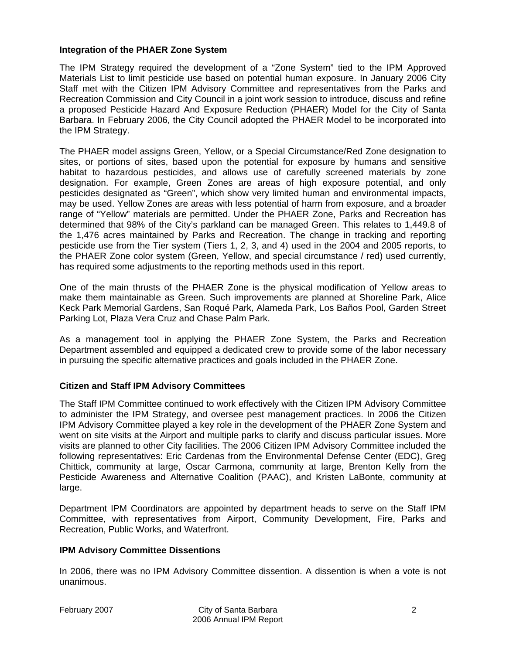#### **Integration of the PHAER Zone System**

The IPM Strategy required the development of a "Zone System" tied to the IPM Approved Materials List to limit pesticide use based on potential human exposure. In January 2006 City Staff met with the Citizen IPM Advisory Committee and representatives from the Parks and Recreation Commission and City Council in a joint work session to introduce, discuss and refine a proposed Pesticide Hazard And Exposure Reduction (PHAER) Model for the City of Santa Barbara. In February 2006, the City Council adopted the PHAER Model to be incorporated into the IPM Strategy.

The PHAER model assigns Green, Yellow, or a Special Circumstance/Red Zone designation to sites, or portions of sites, based upon the potential for exposure by humans and sensitive habitat to hazardous pesticides, and allows use of carefully screened materials by zone designation. For example, Green Zones are areas of high exposure potential, and only pesticides designated as "Green", which show very limited human and environmental impacts, may be used. Yellow Zones are areas with less potential of harm from exposure, and a broader range of "Yellow" materials are permitted. Under the PHAER Zone, Parks and Recreation has determined that 98% of the City's parkland can be managed Green. This relates to 1,449.8 of the 1,476 acres maintained by Parks and Recreation. The change in tracking and reporting pesticide use from the Tier system (Tiers 1, 2, 3, and 4) used in the 2004 and 2005 reports, to the PHAER Zone color system (Green, Yellow, and special circumstance / red) used currently, has required some adjustments to the reporting methods used in this report.

One of the main thrusts of the PHAER Zone is the physical modification of Yellow areas to make them maintainable as Green. Such improvements are planned at Shoreline Park, Alice Keck Park Memorial Gardens, San Roqué Park, Alameda Park, Los Baños Pool, Garden Street Parking Lot, Plaza Vera Cruz and Chase Palm Park.

As a management tool in applying the PHAER Zone System, the Parks and Recreation Department assembled and equipped a dedicated crew to provide some of the labor necessary in pursuing the specific alternative practices and goals included in the PHAER Zone.

#### **Citizen and Staff IPM Advisory Committees**

The Staff IPM Committee continued to work effectively with the Citizen IPM Advisory Committee to administer the IPM Strategy, and oversee pest management practices. In 2006 the Citizen IPM Advisory Committee played a key role in the development of the PHAER Zone System and went on site visits at the Airport and multiple parks to clarify and discuss particular issues. More visits are planned to other City facilities. The 2006 Citizen IPM Advisory Committee included the following representatives: Eric Cardenas from the Environmental Defense Center (EDC), Greg Chittick, community at large, Oscar Carmona, community at large, Brenton Kelly from the Pesticide Awareness and Alternative Coalition (PAAC), and Kristen LaBonte, community at large.

Department IPM Coordinators are appointed by department heads to serve on the Staff IPM Committee, with representatives from Airport, Community Development, Fire, Parks and Recreation, Public Works, and Waterfront.

#### **IPM Advisory Committee Dissentions**

In 2006, there was no IPM Advisory Committee dissention. A dissention is when a vote is not unanimous.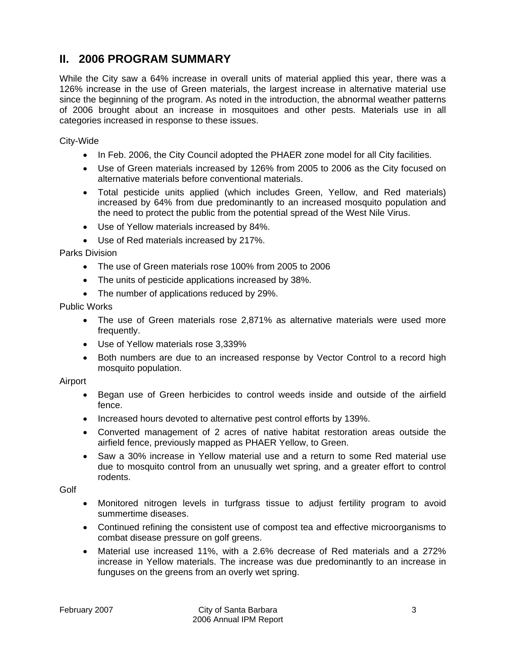### **II. 2006 PROGRAM SUMMARY**

While the City saw a 64% increase in overall units of material applied this year, there was a 126% increase in the use of Green materials, the largest increase in alternative material use since the beginning of the program. As noted in the introduction, the abnormal weather patterns of 2006 brought about an increase in mosquitoes and other pests. Materials use in all categories increased in response to these issues.

City-Wide

- In Feb. 2006, the City Council adopted the PHAER zone model for all City facilities.
- Use of Green materials increased by 126% from 2005 to 2006 as the City focused on alternative materials before conventional materials.
- Total pesticide units applied (which includes Green, Yellow, and Red materials) increased by 64% from due predominantly to an increased mosquito population and the need to protect the public from the potential spread of the West Nile Virus.
- Use of Yellow materials increased by 84%.
- Use of Red materials increased by 217%.

Parks Division

- The use of Green materials rose 100% from 2005 to 2006
- The units of pesticide applications increased by 38%.
- The number of applications reduced by 29%.

Public Works

- The use of Green materials rose 2,871% as alternative materials were used more frequently.
- Use of Yellow materials rose 3,339%
- Both numbers are due to an increased response by Vector Control to a record high mosquito population.

Airport

- Began use of Green herbicides to control weeds inside and outside of the airfield fence.
- Increased hours devoted to alternative pest control efforts by 139%.
- Converted management of 2 acres of native habitat restoration areas outside the airfield fence, previously mapped as PHAER Yellow, to Green.
- Saw a 30% increase in Yellow material use and a return to some Red material use due to mosquito control from an unusually wet spring, and a greater effort to control rodents.

**Golf** 

- Monitored nitrogen levels in turfgrass tissue to adjust fertility program to avoid summertime diseases.
- Continued refining the consistent use of compost tea and effective microorganisms to combat disease pressure on golf greens.
- Material use increased 11%, with a 2.6% decrease of Red materials and a 272% increase in Yellow materials. The increase was due predominantly to an increase in funguses on the greens from an overly wet spring.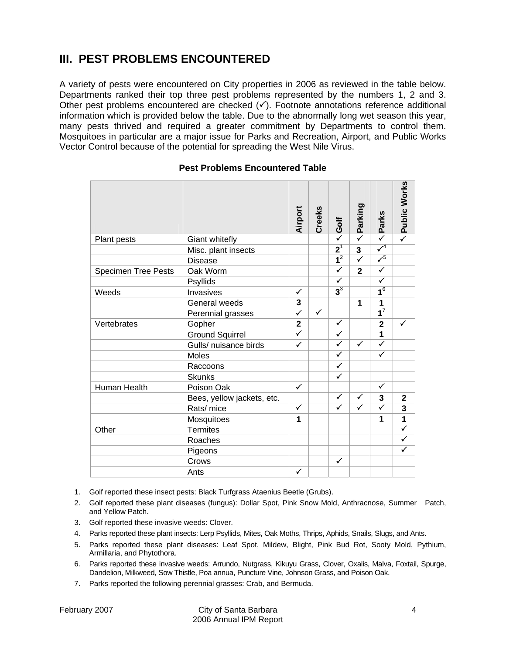# **III. PEST PROBLEMS ENCOUNTERED**

A variety of pests were encountered on City properties in 2006 as reviewed in the table below. Departments ranked their top three pest problems represented by the numbers 1, 2 and 3. Other pest problems encountered are checked  $(\checkmark)$ . Footnote annotations reference additional information which is provided below the table. Due to the abnormally long wet season this year, many pests thrived and required a greater commitment by Departments to control them. Mosquitoes in particular are a major issue for Parks and Recreation, Airport, and Public Works Vector Control because of the potential for spreading the West Nile Virus.

|                            |                            | Airport      | Creeks       | Golf                   | Parking                 | Parks                     | Public Works            |
|----------------------------|----------------------------|--------------|--------------|------------------------|-------------------------|---------------------------|-------------------------|
| Plant pests                | Giant whitefly             |              |              | $\checkmark$           | $\overline{\checkmark}$ | $\overline{\checkmark}$   |                         |
|                            | Misc. plant insects        |              |              | $\overline{{\bf 2}}^1$ | $\overline{\mathbf{3}}$ | $\overline{\checkmark}^4$ |                         |
|                            | <b>Disease</b>             |              |              | $\overline{1^2}$       | $\overline{\checkmark}$ | $\sqrt{5}$                |                         |
| <b>Specimen Tree Pests</b> | Oak Worm                   |              |              | ✓                      | $\overline{2}$          | $\checkmark$              |                         |
|                            | Psyllids                   |              |              | ✓                      |                         | ✓                         |                         |
| Weeds                      | Invasives                  | $\checkmark$ |              | $3^3$                  |                         | $\overline{1^6}$          |                         |
|                            | General weeds              | 3            |              |                        | 1                       | 1                         |                         |
|                            | Perennial grasses          | $\checkmark$ | $\checkmark$ |                        |                         | $\overline{\mathbf{1}^7}$ |                         |
| Vertebrates                | Gopher                     | $\mathbf 2$  |              | $\checkmark$           |                         | $\overline{\mathbf{2}}$   | ✓                       |
|                            | <b>Ground Squirrel</b>     | $\checkmark$ |              | $\checkmark$           |                         | 1                         |                         |
|                            | Gulls/ nuisance birds      | ✓            |              | $\checkmark$           | $\checkmark$            | $\overline{\checkmark}$   |                         |
|                            | <b>Moles</b>               |              |              | $\checkmark$           |                         | ✓                         |                         |
|                            | Raccoons                   |              |              | $\checkmark$           |                         |                           |                         |
|                            | <b>Skunks</b>              |              |              | ✓                      |                         |                           |                         |
| Human Health               | Poison Oak                 | $\checkmark$ |              |                        |                         | $\checkmark$              |                         |
|                            | Bees, yellow jackets, etc. |              |              | $\checkmark$           | ✓                       | 3                         | $\mathbf{2}$            |
|                            | Rats/ mice                 | $\checkmark$ |              | $\checkmark$           | $\checkmark$            | $\checkmark$              | $\overline{3}$          |
|                            | Mosquitoes                 | 1            |              |                        |                         | 1                         | $\overline{\mathbf{1}}$ |
| Other                      | <b>Termites</b>            |              |              |                        |                         |                           | $\overline{\checkmark}$ |
|                            | Roaches                    |              |              |                        |                         |                           | $\checkmark$            |
|                            | Pigeons                    |              |              |                        |                         |                           | ✓                       |
|                            | Crows                      |              |              | $\checkmark$           |                         |                           |                         |
|                            | Ants                       | ✓            |              |                        |                         |                           |                         |

#### **Pest Problems Encountered Table**

- 1. Golf reported these insect pests: Black Turfgrass Ataenius Beetle (Grubs).
- 2. Golf reported these plant diseases (fungus): Dollar Spot, Pink Snow Mold, Anthracnose, Summer Patch, and Yellow Patch.
- 3. Golf reported these invasive weeds: Clover.
- 4. Parks reported these plant insects: Lerp Psyllids, Mites, Oak Moths, Thrips, Aphids, Snails, Slugs, and Ants.
- 5. Parks reported these plant diseases: Leaf Spot, Mildew, Blight, Pink Bud Rot, Sooty Mold, Pythium, Armillaria, and Phytothora.
- 6. Parks reported these invasive weeds: Arrundo, Nutgrass, Kikuyu Grass, Clover, Oxalis, Malva, Foxtail, Spurge, Dandelion, Milkweed, Sow Thistle, Poa annua, Puncture Vine, Johnson Grass, and Poison Oak.
- 7. Parks reported the following perennial grasses: Crab, and Bermuda.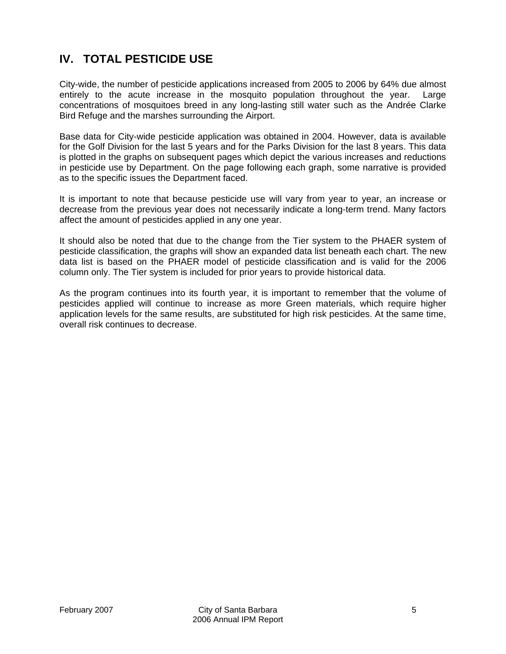# **IV. TOTAL PESTICIDE USE**

City-wide, the number of pesticide applications increased from 2005 to 2006 by 64% due almost entirely to the acute increase in the mosquito population throughout the year. Large concentrations of mosquitoes breed in any long-lasting still water such as the Andrée Clarke Bird Refuge and the marshes surrounding the Airport.

Base data for City-wide pesticide application was obtained in 2004. However, data is available for the Golf Division for the last 5 years and for the Parks Division for the last 8 years. This data is plotted in the graphs on subsequent pages which depict the various increases and reductions in pesticide use by Department. On the page following each graph, some narrative is provided as to the specific issues the Department faced.

It is important to note that because pesticide use will vary from year to year, an increase or decrease from the previous year does not necessarily indicate a long-term trend. Many factors affect the amount of pesticides applied in any one year.

It should also be noted that due to the change from the Tier system to the PHAER system of pesticide classification, the graphs will show an expanded data list beneath each chart. The new data list is based on the PHAER model of pesticide classification and is valid for the 2006 column only. The Tier system is included for prior years to provide historical data.

As the program continues into its fourth year, it is important to remember that the volume of pesticides applied will continue to increase as more Green materials, which require higher application levels for the same results, are substituted for high risk pesticides. At the same time, overall risk continues to decrease.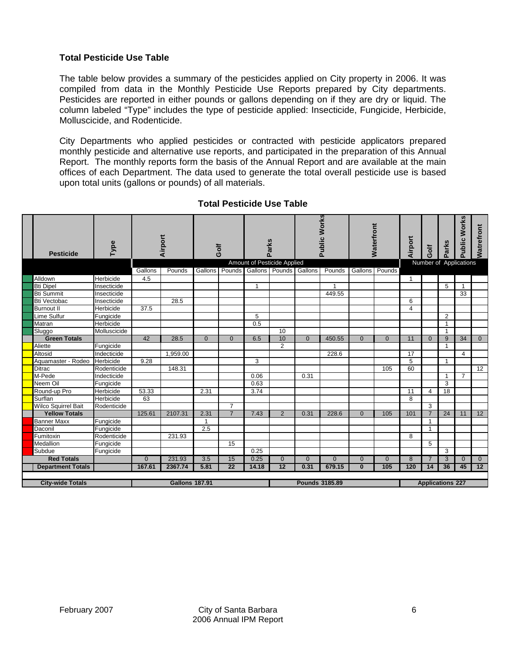#### **Total Pesticide Use Table**

**The Contract State** 

The table below provides a summary of the pesticides applied on City property in 2006. It was compiled from data in the Monthly Pesticide Use Reports prepared by City departments. Pesticides are reported in either pounds or gallons depending on if they are dry or liquid. The column labeled "Type" includes the type of pesticide applied: Insecticide, Fungicide, Herbicide, Molluscicide, and Rodenticide.

City Departments who applied pesticides or contracted with pesticide applicators prepared monthly pesticide and alternative use reports, and participated in the preparation of this Annual Report. The monthly reports form the basis of the Annual Report and are available at the main offices of each Department. The data used to generate the total overall pesticide use is based upon total units (gallons or pounds) of all materials.

| <b>Pesticide</b>           | Type         |          | Airport               |                | Golf            |                | Parks                       |                       | <b>Public Works</b> |                | <b>Waterfront</b> | Airport         | <b>Jic5</b>    | Parks                   | <b>Works</b><br><b>Public</b> | Watrefront |
|----------------------------|--------------|----------|-----------------------|----------------|-----------------|----------------|-----------------------------|-----------------------|---------------------|----------------|-------------------|-----------------|----------------|-------------------------|-------------------------------|------------|
|                            |              |          |                       |                |                 |                | Amount of Pesticide Applied |                       |                     |                |                   |                 |                |                         | Number of Applications        |            |
|                            |              | Gallons  | Pounds                | <b>Gallons</b> | Pounds          |                | Gallons Pounds Gallons      |                       | Pounds              | Gallons        | Pounds            |                 |                |                         |                               |            |
| Alldown                    | Herbicide    | 4.5      |                       |                |                 |                |                             |                       |                     |                |                   | 1               |                |                         |                               |            |
| <b>Bti Dipel</b>           | Insecticide  |          |                       |                |                 | $\overline{1}$ |                             |                       | 1                   |                |                   |                 |                | 5                       | 1                             |            |
| <b>Bti Summit</b>          | Insecticide  |          |                       |                |                 |                |                             |                       | 449.55              |                |                   |                 |                |                         | 33                            |            |
| <b>Bti Vectobac</b>        | Insecticide  |          | 28.5                  |                |                 |                |                             |                       |                     |                |                   | 6               |                |                         |                               |            |
| <b>Burnout II</b>          | Herbicide    | 37.5     |                       |                |                 |                |                             |                       |                     |                |                   | $\overline{4}$  |                |                         |                               |            |
| <b>Lime Sulfur</b>         | Fungicide    |          |                       |                |                 | 5              |                             |                       |                     |                |                   |                 |                | 2                       |                               |            |
| Matran                     | Herbicide    |          |                       |                |                 | 0.5            |                             |                       |                     |                |                   |                 |                | $\mathbf{1}$            |                               |            |
| Sluggo                     | Molluscicide |          |                       |                |                 |                | 10                          |                       |                     |                |                   |                 |                | $\mathbf{1}$            |                               |            |
| <b>Green Totals</b>        |              | 42       | 28.5                  | $\Omega$       | $\Omega$        | 6.5            | 10                          | $\Omega$              | 450.55              | $\Omega$       | $\Omega$          | 11              | $\Omega$       | 9                       | 34                            | $\Omega$   |
| Aliette                    | Fungicide    |          |                       |                |                 |                | $\overline{2}$              |                       |                     |                |                   |                 |                | $\mathbf{1}$            |                               |            |
| Altosid                    | Indecticide  |          | 1,959.00              |                |                 |                |                             |                       | 228.6               |                |                   | 17              |                |                         | 4                             |            |
| Aquamaster - Rodeo         | Herbicide    | 9.28     |                       |                |                 | 3              |                             |                       |                     |                |                   | $\overline{5}$  |                | $\mathbf{1}$            |                               |            |
| <b>Ditrac</b>              | Rodenticide  |          | 148.31                |                |                 |                |                             |                       |                     |                | 105               | 60              |                |                         |                               | 12         |
| M-Pede                     | Indecticide  |          |                       |                |                 | 0.06           |                             | 0.31                  |                     |                |                   |                 |                | $\mathbf{1}$            | $\overline{7}$                |            |
| Neem Oil                   | Fungicide    |          |                       |                |                 | 0.63           |                             |                       |                     |                |                   |                 |                | 3                       |                               |            |
| Round-up Pro               | Herbicide    | 53.33    |                       | 2.31           |                 | 3.74           |                             |                       |                     |                |                   | $\overline{11}$ | $\overline{4}$ | $\overline{18}$         |                               |            |
| Surflan                    | Herbicide    | 63       |                       |                |                 |                |                             |                       |                     |                |                   | 8               |                |                         |                               |            |
| <b>Wilco Squirrel Bait</b> | Rodenticide  |          |                       |                | $\overline{7}$  |                |                             |                       |                     |                |                   |                 | 3              |                         |                               |            |
| <b>Yellow Totals</b>       |              | 125.61   | 2107.31               | 2.31           | $\overline{7}$  | 7.43           | $\overline{2}$              | 0.31                  | 228.6               | $\mathbf{0}$   | 105               | 101             | $\overline{7}$ | 24                      | 11                            | 12         |
| <b>Banner Maxx</b>         | Fungicide    |          |                       | 1              |                 |                |                             |                       |                     |                |                   |                 | -1             |                         |                               |            |
| Daconil                    | Fungicide    |          |                       | 2.5            |                 |                |                             |                       |                     |                |                   |                 | -1             |                         |                               |            |
| Fumitoxin                  | Rodenticide  |          | 231.93                |                |                 |                |                             |                       |                     |                |                   | 8               |                |                         |                               |            |
| Medallion                  | Fungicide    |          |                       |                | 15              |                |                             |                       |                     |                |                   |                 | 5              |                         |                               |            |
| Subdue                     | Fungicide    |          |                       |                |                 | 0.25           |                             |                       |                     |                |                   |                 |                | 3                       |                               |            |
| <b>Red Totals</b>          |              | $\Omega$ | 231.93                | 3.5            | 15              | 0.25           | $\Omega$                    | $\Omega$              | $\overline{0}$      | $\overline{0}$ | $\Omega$          | $\overline{8}$  | $\overline{7}$ | 3                       | $\Omega$                      | $\Omega$   |
| <b>Department Totals</b>   |              | 167.61   | 2367.74               | 5.81           | $\overline{22}$ | 14.18          | 12                          | 0.31                  | 679.15              | $\bf{0}$       | 105               | 120             | 14             | 36                      | 45                            | 12         |
|                            |              |          |                       |                |                 |                |                             |                       |                     |                |                   |                 |                |                         |                               |            |
| <b>City-wide Totals</b>    |              |          | <b>Gallons 187.91</b> |                |                 |                |                             | <b>Pounds 3185.89</b> |                     |                |                   |                 |                | <b>Applications 227</b> |                               |            |

#### **Total Pesticide Use Table**

and the company of the company

 $\overline{\phantom{a}}$ 

 $\overline{\mathbf{w}}$ 

T

 $\blacksquare$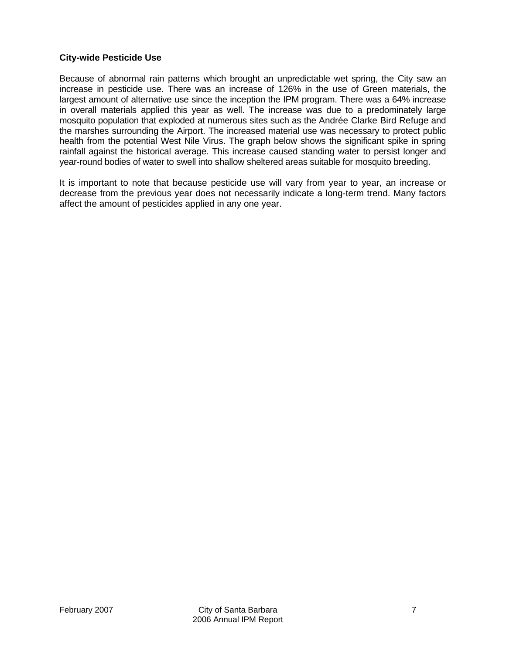#### **City-wide Pesticide Use**

Because of abnormal rain patterns which brought an unpredictable wet spring, the City saw an increase in pesticide use. There was an increase of 126% in the use of Green materials, the largest amount of alternative use since the inception the IPM program. There was a 64% increase in overall materials applied this year as well. The increase was due to a predominately large mosquito population that exploded at numerous sites such as the Andrée Clarke Bird Refuge and the marshes surrounding the Airport. The increased material use was necessary to protect public health from the potential West Nile Virus. The graph below shows the significant spike in spring rainfall against the historical average. This increase caused standing water to persist longer and year-round bodies of water to swell into shallow sheltered areas suitable for mosquito breeding.

It is important to note that because pesticide use will vary from year to year, an increase or decrease from the previous year does not necessarily indicate a long-term trend. Many factors affect the amount of pesticides applied in any one year.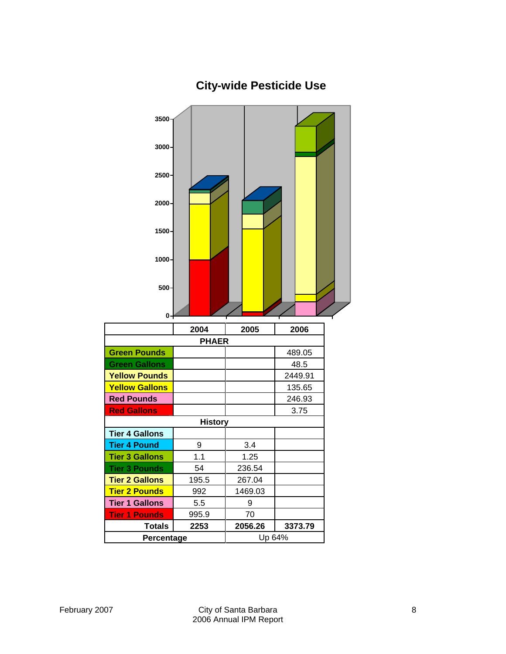

# **City-wide Pesticide Use**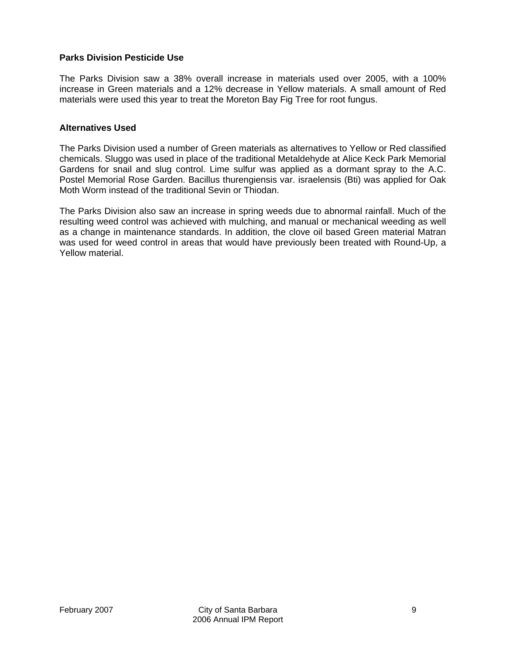#### **Parks Division Pesticide Use**

The Parks Division saw a 38% overall increase in materials used over 2005, with a 100% increase in Green materials and a 12% decrease in Yellow materials. A small amount of Red materials were used this year to treat the Moreton Bay Fig Tree for root fungus.

#### **Alternatives Used**

The Parks Division used a number of Green materials as alternatives to Yellow or Red classified chemicals. Sluggo was used in place of the traditional Metaldehyde at Alice Keck Park Memorial Gardens for snail and slug control. Lime sulfur was applied as a dormant spray to the A.C. Postel Memorial Rose Garden. Bacillus thurengiensis var. israelensis (Bti) was applied for Oak Moth Worm instead of the traditional Sevin or Thiodan.

The Parks Division also saw an increase in spring weeds due to abnormal rainfall. Much of the resulting weed control was achieved with mulching, and manual or mechanical weeding as well as a change in maintenance standards. In addition, the clove oil based Green material Matran was used for weed control in areas that would have previously been treated with Round-Up, a Yellow material.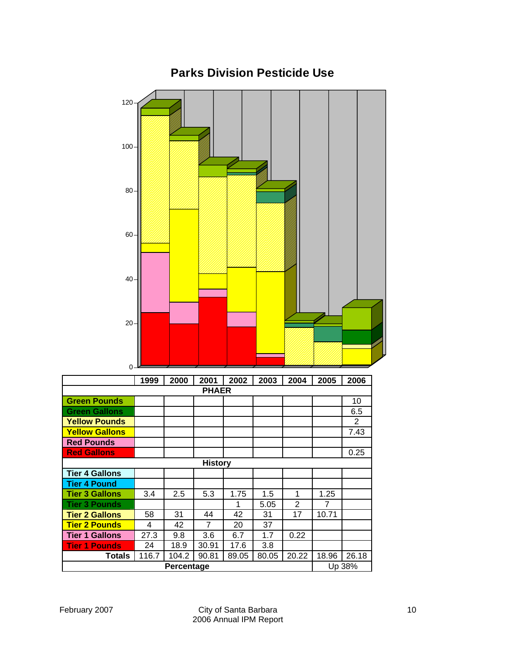

### **Parks Division Pesticide Use**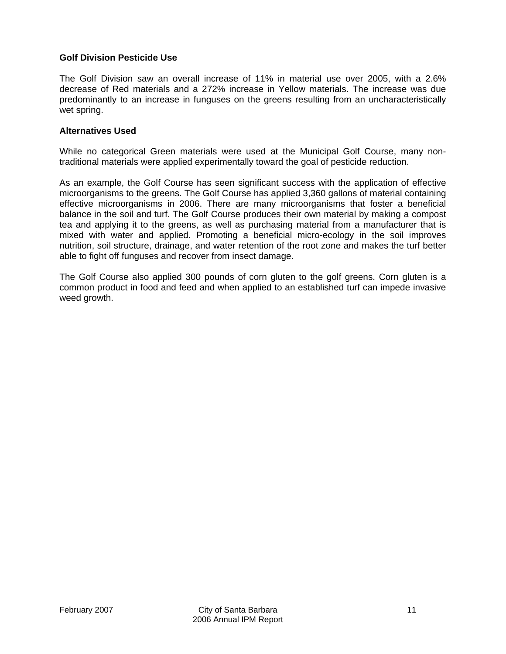#### **Golf Division Pesticide Use**

The Golf Division saw an overall increase of 11% in material use over 2005, with a 2.6% decrease of Red materials and a 272% increase in Yellow materials. The increase was due predominantly to an increase in funguses on the greens resulting from an uncharacteristically wet spring.

#### **Alternatives Used**

While no categorical Green materials were used at the Municipal Golf Course, many nontraditional materials were applied experimentally toward the goal of pesticide reduction.

As an example, the Golf Course has seen significant success with the application of effective microorganisms to the greens. The Golf Course has applied 3,360 gallons of material containing effective microorganisms in 2006. There are many microorganisms that foster a beneficial balance in the soil and turf. The Golf Course produces their own material by making a compost tea and applying it to the greens, as well as purchasing material from a manufacturer that is mixed with water and applied. Promoting a beneficial micro-ecology in the soil improves nutrition, soil structure, drainage, and water retention of the root zone and makes the turf better able to fight off funguses and recover from insect damage.

The Golf Course also applied 300 pounds of corn gluten to the golf greens. Corn gluten is a common product in food and feed and when applied to an established turf can impede invasive weed growth.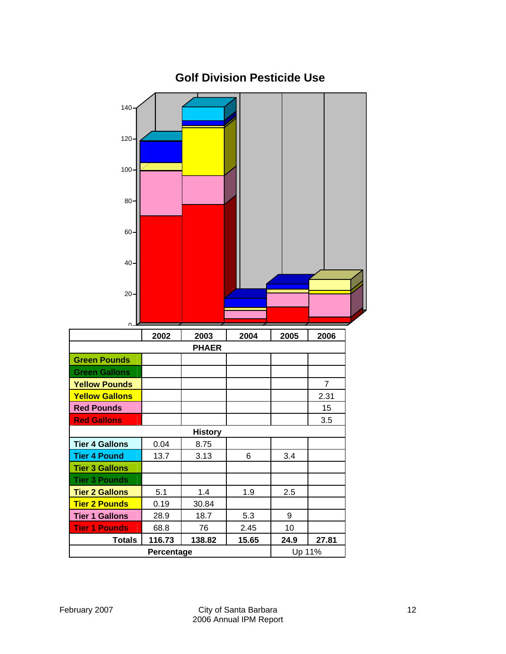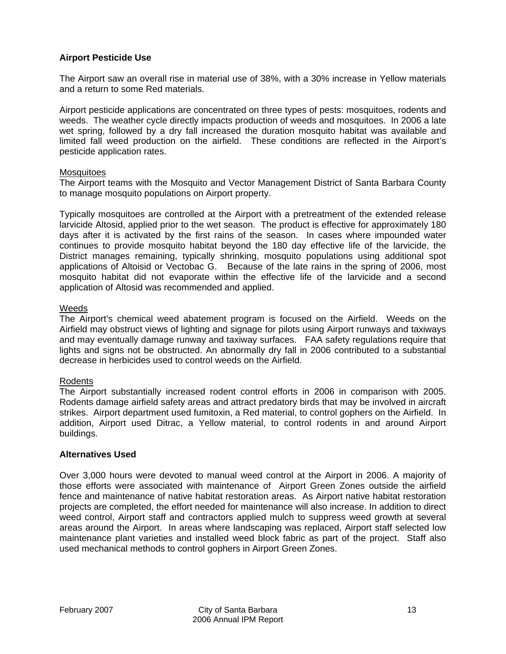#### **Airport Pesticide Use**

The Airport saw an overall rise in material use of 38%, with a 30% increase in Yellow materials and a return to some Red materials.

Airport pesticide applications are concentrated on three types of pests: mosquitoes, rodents and weeds. The weather cycle directly impacts production of weeds and mosquitoes. In 2006 a late wet spring, followed by a dry fall increased the duration mosquito habitat was available and limited fall weed production on the airfield. These conditions are reflected in the Airport's pesticide application rates.

#### **Mosquitoes**

The Airport teams with the Mosquito and Vector Management District of Santa Barbara County to manage mosquito populations on Airport property.

Typically mosquitoes are controlled at the Airport with a pretreatment of the extended release larvicide Altosid, applied prior to the wet season. The product is effective for approximately 180 days after it is activated by the first rains of the season. In cases where impounded water continues to provide mosquito habitat beyond the 180 day effective life of the larvicide, the District manages remaining, typically shrinking, mosquito populations using additional spot applications of Altoisid or Vectobac G. Because of the late rains in the spring of 2006, most mosquito habitat did not evaporate within the effective life of the larvicide and a second application of Altosid was recommended and applied.

#### Weeds

The Airport's chemical weed abatement program is focused on the Airfield. Weeds on the Airfield may obstruct views of lighting and signage for pilots using Airport runways and taxiways and may eventually damage runway and taxiway surfaces. FAA safety regulations require that lights and signs not be obstructed. An abnormally dry fall in 2006 contributed to a substantial decrease in herbicides used to control weeds on the Airfield.

#### Rodents

The Airport substantially increased rodent control efforts in 2006 in comparison with 2005. Rodents damage airfield safety areas and attract predatory birds that may be involved in aircraft strikes. Airport department used fumitoxin, a Red material, to control gophers on the Airfield. In addition, Airport used Ditrac, a Yellow material, to control rodents in and around Airport buildings.

#### **Alternatives Used**

Over 3,000 hours were devoted to manual weed control at the Airport in 2006. A majority of those efforts were associated with maintenance of Airport Green Zones outside the airfield fence and maintenance of native habitat restoration areas. As Airport native habitat restoration projects are completed, the effort needed for maintenance will also increase. In addition to direct weed control, Airport staff and contractors applied mulch to suppress weed growth at several areas around the Airport. In areas where landscaping was replaced, Airport staff selected low maintenance plant varieties and installed weed block fabric as part of the project. Staff also used mechanical methods to control gophers in Airport Green Zones.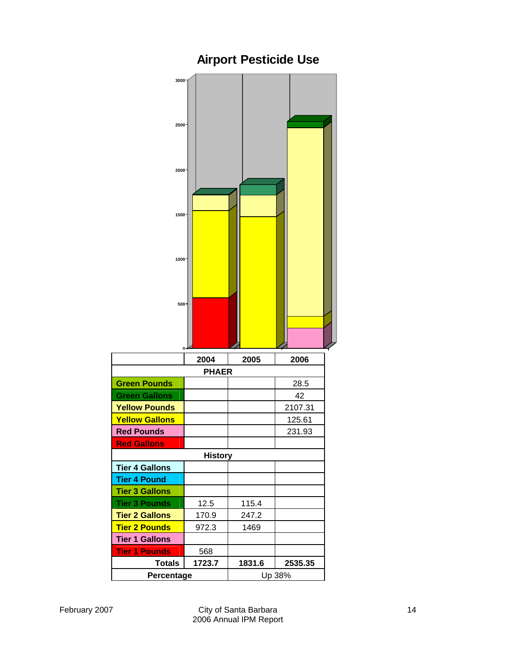

# **Airport Pesticide Use**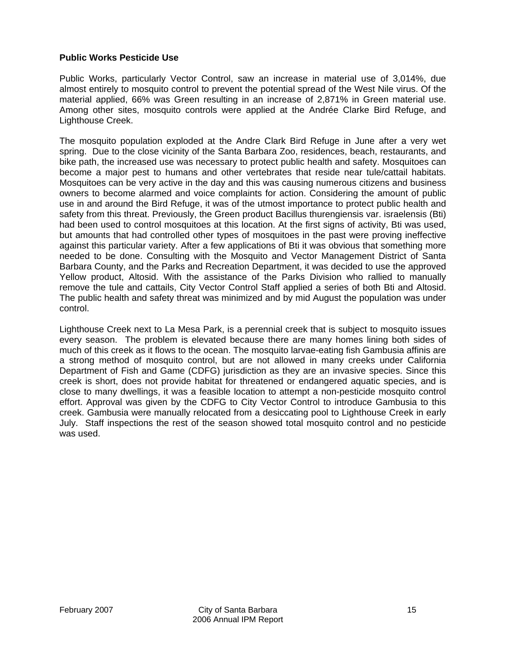#### **Public Works Pesticide Use**

Public Works, particularly Vector Control, saw an increase in material use of 3,014%, due almost entirely to mosquito control to prevent the potential spread of the West Nile virus. Of the material applied, 66% was Green resulting in an increase of 2,871% in Green material use. Among other sites, mosquito controls were applied at the Andrée Clarke Bird Refuge, and Lighthouse Creek.

The mosquito population exploded at the Andre Clark Bird Refuge in June after a very wet spring. Due to the close vicinity of the Santa Barbara Zoo, residences, beach, restaurants, and bike path, the increased use was necessary to protect public health and safety. Mosquitoes can become a major pest to humans and other vertebrates that reside near tule/cattail habitats. Mosquitoes can be very active in the day and this was causing numerous citizens and business owners to become alarmed and voice complaints for action. Considering the amount of public use in and around the Bird Refuge, it was of the utmost importance to protect public health and safety from this threat. Previously, the Green product Bacillus thurengiensis var. israelensis (Bti) had been used to control mosquitoes at this location. At the first signs of activity, Bti was used, but amounts that had controlled other types of mosquitoes in the past were proving ineffective against this particular variety. After a few applications of Bti it was obvious that something more needed to be done. Consulting with the Mosquito and Vector Management District of Santa Barbara County, and the Parks and Recreation Department, it was decided to use the approved Yellow product, Altosid. With the assistance of the Parks Division who rallied to manually remove the tule and cattails, City Vector Control Staff applied a series of both Bti and Altosid. The public health and safety threat was minimized and by mid August the population was under control.

Lighthouse Creek next to La Mesa Park, is a perennial creek that is subject to mosquito issues every season. The problem is elevated because there are many homes lining both sides of much of this creek as it flows to the ocean. The mosquito larvae-eating fish Gambusia affinis are a strong method of mosquito control, but are not allowed in many creeks under California Department of Fish and Game (CDFG) jurisdiction as they are an invasive species. Since this creek is short, does not provide habitat for threatened or endangered aquatic species, and is close to many dwellings, it was a feasible location to attempt a non-pesticide mosquito control effort. Approval was given by the CDFG to City Vector Control to introduce Gambusia to this creek. Gambusia were manually relocated from a desiccating pool to Lighthouse Creek in early July. Staff inspections the rest of the season showed total mosquito control and no pesticide was used.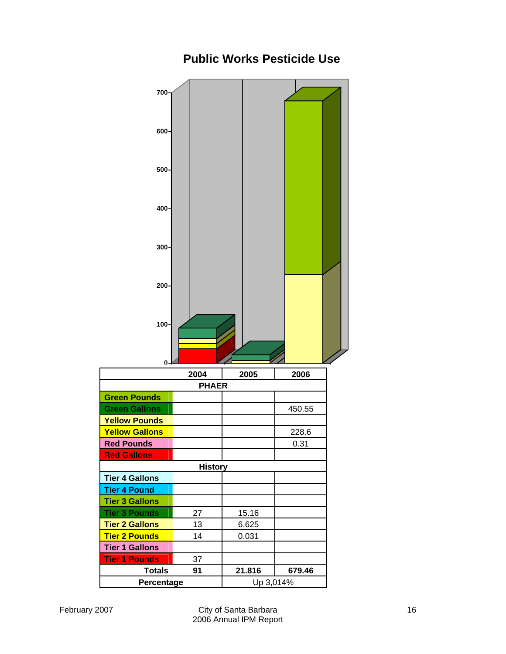

# **Public Works Pesticide Use**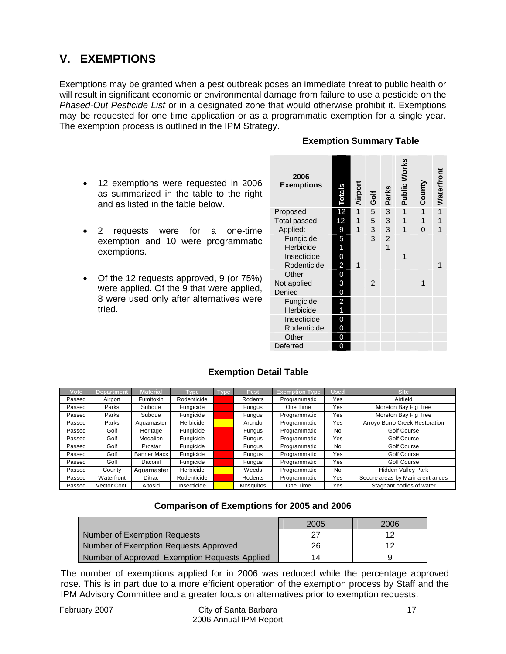# **V. EXEMPTIONS**

Exemptions may be granted when a pest outbreak poses an immediate threat to public health or will result in significant economic or environmental damage from failure to use a pesticide on the *Phased-Out Pesticide List* or in a designated zone that would otherwise prohibit it. Exemptions may be requested for one time application or as a programmatic exemption for a single year. The exemption process is outlined in the IPM Strategy.

#### **Exemption Summary Table**

- 12 exemptions were requested in 2006 as summarized in the table to the right and as listed in the table below.
- 2 requests were for a one-time exemption and 10 were programmatic exemptions.
- Of the 12 requests approved, 9 (or 75%) were applied. Of the 9 that were applied, 8 were used only after alternatives were tried.

| 2006<br><b>Exemptions</b> | <b>Totals</b> | Airport        | Golf           | Parks          | <b>Public Works</b> | County | Waterfront     |
|---------------------------|---------------|----------------|----------------|----------------|---------------------|--------|----------------|
| Proposed                  | 12            | $\overline{1}$ | 5 <sup>5</sup> | 3              | $\mathbf{1}$        | 1      | $\overline{1}$ |
| <b>Total passed</b>       | 12            | 1              | 5 <sup>5</sup> | 3              | 1                   | 1      | 1              |
| Applied:                  | 9             | 1              | 3 <sup>1</sup> | 3              | 1                   | 0      | 1              |
| Fungicide                 | 5             |                | 3              | $\overline{c}$ |                     |        |                |
| Herbicide                 | 1             |                |                | $\overline{1}$ |                     |        |                |
| Insecticide               | 0             |                |                |                | 1                   |        |                |
| Rodenticide               | 2             | 1              |                |                |                     |        | 1              |
| Other                     | 0             |                |                |                |                     |        |                |
| Not applied               | 3             |                | $\overline{2}$ |                |                     | 1      |                |
| Denied                    | 0             |                |                |                |                     |        |                |
| Fungicide                 | 2             |                |                |                |                     |        |                |
| Herbicide                 | 1             |                |                |                |                     |        |                |
| Insecticide               | 0             |                |                |                |                     |        |                |
| Rodenticide               | 0             |                |                |                |                     |        |                |
| Other                     | 0             |                |                |                |                     |        |                |
| Deferred                  | 0             |                |                |                |                     |        |                |

#### **Exemption Detail Table**

| Vote   | <b>Department</b> | <b>Material</b> | Type        | Type | Pest             | <b>Exemption Type</b> | <b>Used</b> | <b>Site</b>                      |
|--------|-------------------|-----------------|-------------|------|------------------|-----------------------|-------------|----------------------------------|
| Passed | Airport           | Fumitoxin       | Rodenticide |      | Rodents          | Programmatic          | Yes         | Airfield                         |
| Passed | Parks             | Subdue          | Fungicide   |      | Fungus           | One Time              | Yes         | Moreton Bay Fig Tree             |
| Passed | Parks             | Subdue          | Fungicide   |      | Fungus           | Programmatic          | Yes         | Moreton Bay Fig Tree             |
| Passed | Parks             | Aquamaster      | Herbicide   |      | Arundo           | Programmatic          | Yes         | Arroyo Burro Creek Restoration   |
| Passed | Golf              | Heritage        | Fungicide   |      | Fungus           | Programmatic          | No          | Golf Course                      |
| Passed | Golf              | <b>Medalion</b> | Fungicide   |      | Fungus           | Programmatic          | Yes         | Golf Course                      |
| Passed | Golf              | Prostar         | Fungicide   |      | Fungus           | Programmatic          | No          | Golf Course                      |
| Passed | Golf              | Banner Maxx     | Fungicide   |      | Fungus           | Programmatic          | Yes         | <b>Golf Course</b>               |
| Passed | Golf              | Daconil         | Fungicide   |      | Fungus           | Programmatic          | Yes         | <b>Golf Course</b>               |
| Passed | County            | Aquamaster I    | Herbicide   |      | Weeds            | Programmatic          | No          | Hidden Valley Park               |
| Passed | Waterfront        | Ditrac          | Rodenticide |      | Rodents          | Programmatic          | Yes         | Secure areas by Marina entrances |
| Passed | Vector Cont.      | Altosid         | Insecticide |      | <b>Mosquitos</b> | One Time              | Yes         | Stagnant bodies of water         |

#### **Comparison of Exemptions for 2005 and 2006**

|                                               | 2005 | 2006 |
|-----------------------------------------------|------|------|
| Number of Exemption Requests                  | דר   |      |
| Number of Exemption Requests Approved         | 26   |      |
| Number of Approved Exemption Requests Applied | 14   |      |

The number of exemptions applied for in 2006 was reduced while the percentage approved rose. This is in part due to a more efficient operation of the exemption process by Staff and the IPM Advisory Committee and a greater focus on alternatives prior to exemption requests.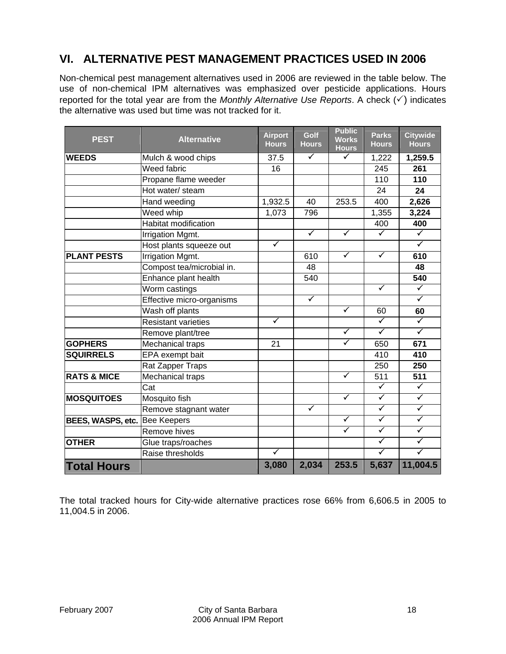# **VI. ALTERNATIVE PEST MANAGEMENT PRACTICES USED IN 2006**

Non-chemical pest management alternatives used in 2006 are reviewed in the table below. The use of non-chemical IPM alternatives was emphasized over pesticide applications. Hours reported for the total year are from the *Monthly Alternative Use Reports*. A check  $(\checkmark)$  indicates the alternative was used but time was not tracked for it.

| <b>PEST</b>                   | <b>Alternative</b>          | <b>Airport</b><br><b>Hours</b> | Golf<br><b>Hours</b> | <b>Public</b><br><b>Works</b><br><b>Hours</b> | <b>Parks</b><br><b>Hours</b> | <b>Citywide</b><br><b>Hours</b> |
|-------------------------------|-----------------------------|--------------------------------|----------------------|-----------------------------------------------|------------------------------|---------------------------------|
| <b>WEEDS</b>                  | Mulch & wood chips          | 37.5                           | $\checkmark$         | $\checkmark$                                  | 1,222                        | 1,259.5                         |
|                               | Weed fabric                 | 16                             |                      |                                               | 245                          | 261                             |
|                               | Propane flame weeder        |                                |                      |                                               | 110                          | 110                             |
|                               | Hot water/ steam            |                                |                      |                                               | 24                           | 24                              |
|                               | Hand weeding                | 1,932.5                        | 40                   | 253.5                                         | 400                          | 2,626                           |
|                               | Weed whip                   | 1,073                          | 796                  |                                               | 1,355                        | 3,224                           |
|                               | <b>Habitat modification</b> |                                |                      |                                               | 400                          | 400                             |
|                               | Irrigation Mgmt.            |                                | $\blacktriangledown$ | $\checkmark$                                  | $\blacktriangledown$         | $\blacktriangledown$            |
|                               | Host plants squeeze out     | $\blacktriangledown$           |                      |                                               |                              | $\checkmark$                    |
| <b>PLANT PESTS</b>            | Irrigation Mgmt.            |                                | 610                  | $\checkmark$                                  | $\checkmark$                 | 610                             |
|                               | Compost tea/microbial in.   |                                | 48                   |                                               |                              | 48                              |
|                               | Enhance plant health        |                                | 540                  |                                               |                              | 540                             |
|                               | Worm castings               |                                |                      |                                               | $\checkmark$                 | $\blacktriangledown$            |
|                               | Effective micro-organisms   |                                | $\blacktriangledown$ |                                               |                              | $\checkmark$                    |
|                               | Wash off plants             |                                |                      | $\blacktriangledown$                          | 60                           | 60                              |
|                               | <b>Resistant varieties</b>  | $\blacktriangledown$           |                      |                                               | $\checkmark$                 | $\blacktriangledown$            |
|                               | Remove plant/tree           |                                |                      | $\blacktriangledown$                          | $\blacktriangledown$         | $\overline{\checkmark}$         |
| <b>GOPHERS</b>                | <b>Mechanical traps</b>     | 21                             |                      | $\checkmark$                                  | 650                          | 671                             |
| <b>SQUIRRELS</b>              | EPA exempt bait             |                                |                      |                                               | 410                          | 410                             |
|                               | Rat Zapper Traps            |                                |                      |                                               | 250                          | 250                             |
| <b>RATS &amp; MICE</b>        | <b>Mechanical traps</b>     |                                |                      | $\blacktriangledown$                          | 511                          | 511                             |
|                               | Cat                         |                                |                      |                                               | $\checkmark$                 | $\blacktriangledown$            |
| <b>MOSQUITOES</b>             | Mosquito fish               |                                |                      | $\blacktriangledown$                          | $\blacktriangledown$         | $\overline{\checkmark}$         |
|                               | Remove stagnant water       |                                | $\checkmark$         |                                               | $\checkmark$                 | $\blacktriangledown$            |
| BEES, WASPS, etc. Bee Keepers |                             |                                |                      | $\checkmark$                                  | $\checkmark$                 | $\blacktriangledown$            |
|                               | Remove hives                |                                |                      | $\blacktriangledown$                          | $\blacktriangledown$         | $\blacktriangledown$            |
| <b>OTHER</b>                  | Glue traps/roaches          |                                |                      |                                               | $\overline{\checkmark}$      | $\blacktriangledown$            |
|                               | Raise thresholds            | ✓                              |                      |                                               | $\blacktriangledown$         | $\overline{\checkmark}$         |
| <b>Total Hours</b>            |                             | 3,080                          | 2,034                | 253.5                                         | 5,637                        | 11,004.5                        |

The total tracked hours for City-wide alternative practices rose 66% from 6,606.5 in 2005 to 11,004.5 in 2006.

 $\mathcal{L}$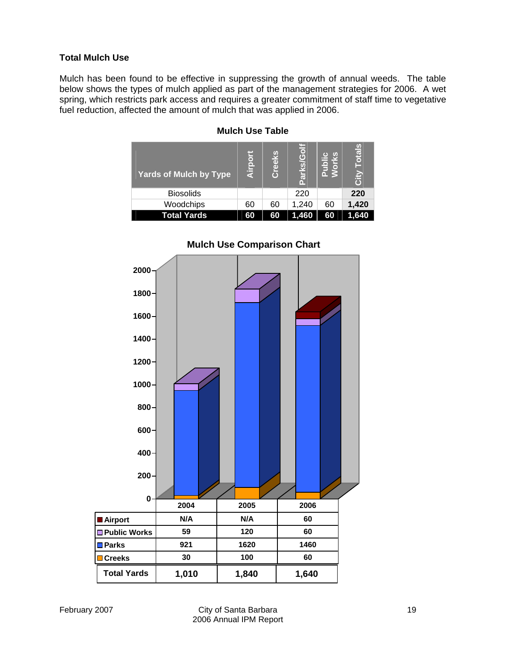#### **Total Mulch Use**

Mulch has been found to be effective in suppressing the growth of annual weeds. The table below shows the types of mulch applied as part of the management strategies for 2006. A wet spring, which restricts park access and requires a greater commitment of staff time to vegetative fuel reduction, affected the amount of mulch that was applied in 2006.

| <b>Yards of Mulch by Type</b> | Airp | بر<br>آ<br>$\overline{C}$ | Golf<br><u>ო</u> |    | otal<br>Σiς |
|-------------------------------|------|---------------------------|------------------|----|-------------|
| <b>Biosolids</b>              |      |                           | 220              |    | 220         |
| Woodchips                     | 60   | 60                        | 1,240            | 60 | 1,420       |
| <b>Total Yards</b>            | 60   | 60                        | 1,460            | 60 | .640        |

#### **Mulch Use Table**



#### **Mulch Use Comparison Chart**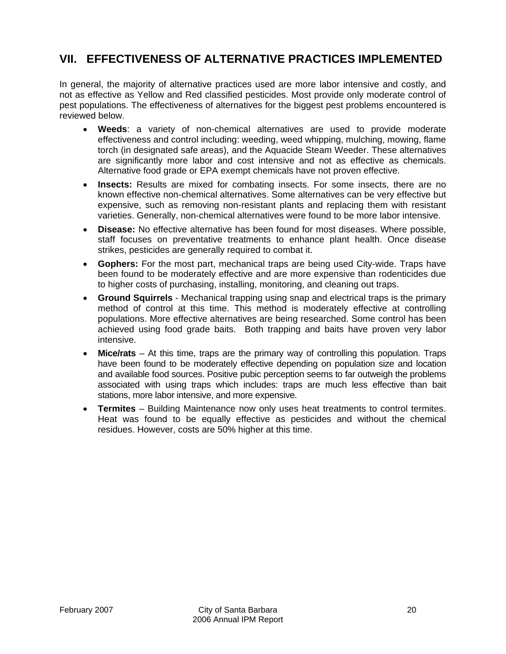# **VII. EFFECTIVENESS OF ALTERNATIVE PRACTICES IMPLEMENTED**

In general, the majority of alternative practices used are more labor intensive and costly, and not as effective as Yellow and Red classified pesticides. Most provide only moderate control of pest populations. The effectiveness of alternatives for the biggest pest problems encountered is reviewed below.

- **Weeds**: a variety of non-chemical alternatives are used to provide moderate effectiveness and control including: weeding, weed whipping, mulching, mowing, flame torch (in designated safe areas), and the Aquacide Steam Weeder. These alternatives are significantly more labor and cost intensive and not as effective as chemicals. Alternative food grade or EPA exempt chemicals have not proven effective.
- **Insects:** Results are mixed for combating insects. For some insects, there are no known effective non-chemical alternatives. Some alternatives can be very effective but expensive, such as removing non-resistant plants and replacing them with resistant varieties. Generally, non-chemical alternatives were found to be more labor intensive.
- **Disease:** No effective alternative has been found for most diseases. Where possible, staff focuses on preventative treatments to enhance plant health. Once disease strikes, pesticides are generally required to combat it.
- **Gophers:** For the most part, mechanical traps are being used City-wide. Traps have been found to be moderately effective and are more expensive than rodenticides due to higher costs of purchasing, installing, monitoring, and cleaning out traps.
- **Ground Squirrels** Mechanical trapping using snap and electrical traps is the primary method of control at this time. This method is moderately effective at controlling populations. More effective alternatives are being researched. Some control has been achieved using food grade baits. Both trapping and baits have proven very labor intensive.
- **Mice/rats** At this time, traps are the primary way of controlling this population. Traps have been found to be moderately effective depending on population size and location and available food sources. Positive pubic perception seems to far outweigh the problems associated with using traps which includes: traps are much less effective than bait stations, more labor intensive, and more expensive.
- **Termites**  Building Maintenance now only uses heat treatments to control termites. Heat was found to be equally effective as pesticides and without the chemical residues. However, costs are 50% higher at this time.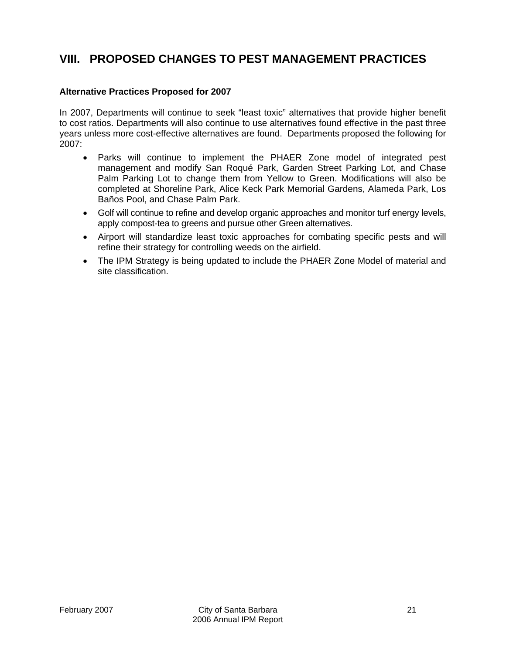## **VIII. PROPOSED CHANGES TO PEST MANAGEMENT PRACTICES**

#### **Alternative Practices Proposed for 2007**

In 2007, Departments will continue to seek "least toxic" alternatives that provide higher benefit to cost ratios. Departments will also continue to use alternatives found effective in the past three years unless more cost-effective alternatives are found. Departments proposed the following for 2007:

- Parks will continue to implement the PHAER Zone model of integrated pest management and modify San Roqué Park, Garden Street Parking Lot, and Chase Palm Parking Lot to change them from Yellow to Green. Modifications will also be completed at Shoreline Park, Alice Keck Park Memorial Gardens, Alameda Park, Los Baños Pool, and Chase Palm Park.
- Golf will continue to refine and develop organic approaches and monitor turf energy levels, apply compost-tea to greens and pursue other Green alternatives.
- Airport will standardize least toxic approaches for combating specific pests and will refine their strategy for controlling weeds on the airfield.
- The IPM Strategy is being updated to include the PHAER Zone Model of material and site classification.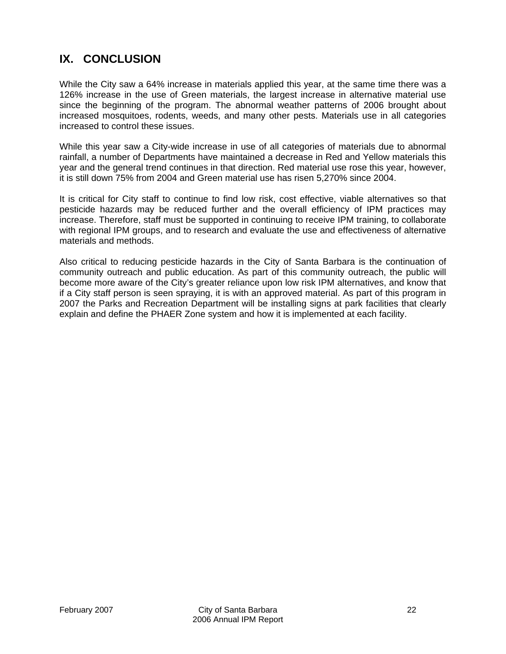# **IX. CONCLUSION**

While the City saw a 64% increase in materials applied this year, at the same time there was a 126% increase in the use of Green materials, the largest increase in alternative material use since the beginning of the program. The abnormal weather patterns of 2006 brought about increased mosquitoes, rodents, weeds, and many other pests. Materials use in all categories increased to control these issues.

While this year saw a City-wide increase in use of all categories of materials due to abnormal rainfall, a number of Departments have maintained a decrease in Red and Yellow materials this year and the general trend continues in that direction. Red material use rose this year, however, it is still down 75% from 2004 and Green material use has risen 5,270% since 2004.

It is critical for City staff to continue to find low risk, cost effective, viable alternatives so that pesticide hazards may be reduced further and the overall efficiency of IPM practices may increase. Therefore, staff must be supported in continuing to receive IPM training, to collaborate with regional IPM groups, and to research and evaluate the use and effectiveness of alternative materials and methods.

Also critical to reducing pesticide hazards in the City of Santa Barbara is the continuation of community outreach and public education. As part of this community outreach, the public will become more aware of the City's greater reliance upon low risk IPM alternatives, and know that if a City staff person is seen spraying, it is with an approved material. As part of this program in 2007 the Parks and Recreation Department will be installing signs at park facilities that clearly explain and define the PHAER Zone system and how it is implemented at each facility.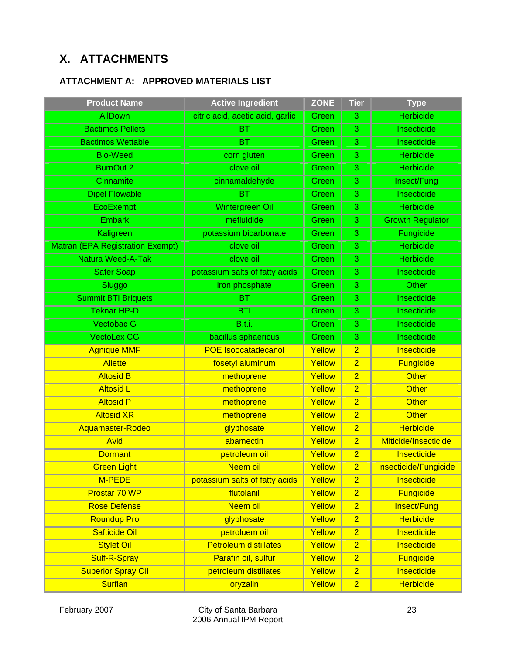# **X. ATTACHMENTS**

### **ATTACHMENT A: APPROVED MATERIALS LIST**

| <b>Product Name</b>                     | <b>Active Ingredient</b>         | <b>ZONE</b> | <b>Tier</b>    | <b>Type</b>             |
|-----------------------------------------|----------------------------------|-------------|----------------|-------------------------|
| <b>AllDown</b>                          | citric acid, acetic acid, garlic | Green       | 3              | <b>Herbicide</b>        |
| <b>Bactimos Pellets</b>                 | <b>BT</b>                        | Green       | 3              | Insecticide             |
| <b>Bactimos Wettable</b>                | <b>BT</b>                        | Green       | 3              | Insecticide             |
| <b>Bio-Weed</b>                         | corn gluten                      | Green       | 3              | <b>Herbicide</b>        |
| <b>BurnOut 2</b>                        | clove oil                        | Green       | 3              | <b>Herbicide</b>        |
| Cinnamite                               | cinnamaldehyde                   | Green       | 3              | Insect/Fung             |
| <b>Dipel Flowable</b>                   | <b>BT</b>                        | Green       | 3              | Insecticide             |
| EcoExempt                               | <b>Wintergreen Oil</b>           | Green       | 3              | <b>Herbicide</b>        |
| <b>Embark</b>                           | mefluidide                       | Green       | 3              | <b>Growth Regulator</b> |
| Kaligreen                               | potassium bicarbonate            | Green       | 3              | Fungicide               |
| <b>Matran (EPA Registration Exempt)</b> | clove oil                        | Green       | 3              | <b>Herbicide</b>        |
| Natura Weed-A-Tak                       | clove oil                        | Green       | 3              | <b>Herbicide</b>        |
| <b>Safer Soap</b>                       | potassium salts of fatty acids   | Green       | 3              | Insecticide             |
| Sluggo                                  | iron phosphate                   | Green       | 3              | Other                   |
| <b>Summit BTI Briquets</b>              | <b>BT</b>                        | Green       | 3              | Insecticide             |
| <b>Teknar HP-D</b>                      | <b>BTI</b>                       | Green       | 3              | Insecticide             |
| Vectobac G                              | B.t.i.                           | Green       | 3              | Insecticide             |
| <b>VectoLex CG</b>                      | bacillus sphaericus              | Green       | 3              | Insecticide             |
| <b>Agnique MMF</b>                      | <b>POE Isoocatadecanol</b>       | Yellow      | $\overline{2}$ | Insecticide             |
| <b>Aliette</b>                          | fosetyl aluminum                 | Yellow      | $\overline{2}$ | <b>Fungicide</b>        |
| <b>Altosid B</b>                        | methoprene                       | Yellow      | $\overline{2}$ | <b>Other</b>            |
| <b>Altosid L</b>                        | methoprene                       | Yellow      | $\overline{2}$ | <b>Other</b>            |
| <b>Altosid P</b>                        | methoprene                       | Yellow      | $\overline{2}$ | <b>Other</b>            |
| <b>Altosid XR</b>                       | methoprene                       | Yellow      | $\overline{2}$ | <b>Other</b>            |
| Aquamaster-Rodeo                        | glyphosate                       | Yellow      | $\overline{2}$ | <b>Herbicide</b>        |
| Avid                                    | abamectin                        | Yellow      | $\overline{2}$ | Miticide/Insecticide    |
| <b>Dormant</b>                          | petroleum oil                    | Yellow      | $\overline{2}$ | Insecticide             |
| <b>Green Light</b>                      | Neem oil                         | Yellow      | $\overline{2}$ | Insecticide/Fungicide   |
| M-PEDE                                  | potassium salts of fatty acids   | Yellow      | $\overline{2}$ | Insecticide             |
| Prostar 70 WP                           | flutolanil                       | Yellow      | $\overline{2}$ | <b>Fungicide</b>        |
| <b>Rose Defense</b>                     | Neem oil                         | Yellow      | $\overline{2}$ | Insect/Fung             |
| <b>Roundup Pro</b>                      | glyphosate                       | Yellow      | $\overline{2}$ | <b>Herbicide</b>        |
| <b>Safticide Oil</b>                    | petroluem oil                    | Yellow      | $\overline{2}$ | Insecticide             |
| <b>Stylet Oil</b>                       | <b>Petroleum distillates</b>     | Yellow      | $\overline{2}$ | Insecticide             |
| <b>Sulf-R-Spray</b>                     | Parafin oil, sulfur              | Yellow      | $\overline{2}$ | <b>Fungicide</b>        |
| <b>Superior Spray Oil</b>               | petroleum distillates            | Yellow      | $\overline{2}$ | Insecticide             |
| <b>Surflan</b>                          | oryzalin                         | Yellow      | $\overline{2}$ | <b>Herbicide</b>        |